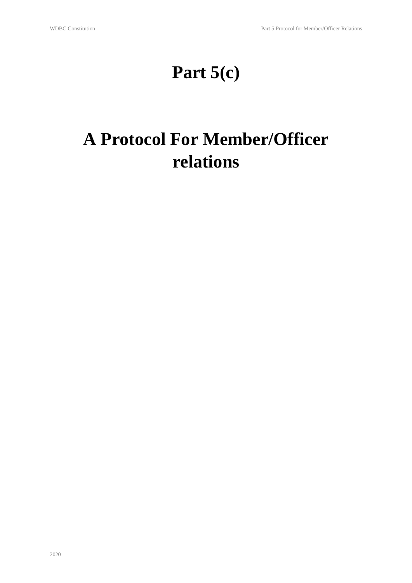# **Part 5(c)**

# **A Protocol For Member/Officer relations**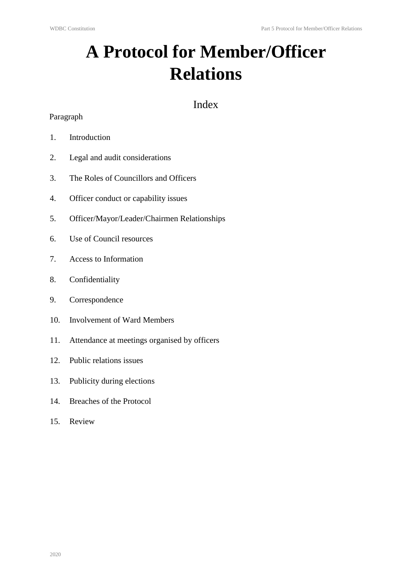# **A Protocol for Member/Officer Relations**

### Index

#### Paragraph

- 1. Introduction
- 2. Legal and audit considerations
- 3. The Roles of Councillors and Officers
- 4. Officer conduct or capability issues
- 5. Officer/Mayor/Leader/Chairmen Relationships
- 6. Use of Council resources
- 7. Access to Information
- 8. Confidentiality
- 9. Correspondence
- 10. Involvement of Ward Members
- 11. Attendance at meetings organised by officers
- 12. Public relations issues
- 13. Publicity during elections
- 14. Breaches of the Protocol
- 15. Review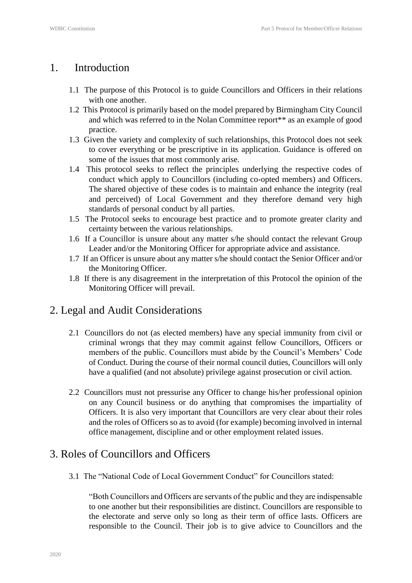## 1. Introduction

- 1.1 The purpose of this Protocol is to guide Councillors and Officers in their relations with one another.
- 1.2 This Protocol is primarily based on the model prepared by Birmingham City Council and which was referred to in the Nolan Committee report\*\* as an example of good practice.
- 1.3 Given the variety and complexity of such relationships, this Protocol does not seek to cover everything or be prescriptive in its application. Guidance is offered on some of the issues that most commonly arise.
- 1.4 This protocol seeks to reflect the principles underlying the respective codes of conduct which apply to Councillors (including co-opted members) and Officers. The shared objective of these codes is to maintain and enhance the integrity (real and perceived) of Local Government and they therefore demand very high standards of personal conduct by all parties.
- 1.5 The Protocol seeks to encourage best practice and to promote greater clarity and certainty between the various relationships.
- 1.6 If a Councillor is unsure about any matter s/he should contact the relevant Group Leader and/or the Monitoring Officer for appropriate advice and assistance.
- 1.7 If an Officer is unsure about any matter s/he should contact the Senior Officer and/or the Monitoring Officer.
- 1.8 If there is any disagreement in the interpretation of this Protocol the opinion of the Monitoring Officer will prevail.

## 2. Legal and Audit Considerations

- 2.1 Councillors do not (as elected members) have any special immunity from civil or criminal wrongs that they may commit against fellow Councillors, Officers or members of the public. Councillors must abide by the Council's Members' Code of Conduct. During the course of their normal council duties, Councillors will only have a qualified (and not absolute) privilege against prosecution or civil action.
- 2.2 Councillors must not pressurise any Officer to change his/her professional opinion on any Council business or do anything that compromises the impartiality of Officers. It is also very important that Councillors are very clear about their roles and the roles of Officers so as to avoid (for example) becoming involved in internal office management, discipline and or other employment related issues.

## 3. Roles of Councillors and Officers

3.1 The "National Code of Local Government Conduct" for Councillors stated:

"Both Councillors and Officers are servants of the public and they are indispensable to one another but their responsibilities are distinct. Councillors are responsible to the electorate and serve only so long as their term of office lasts. Officers are responsible to the Council. Their job is to give advice to Councillors and the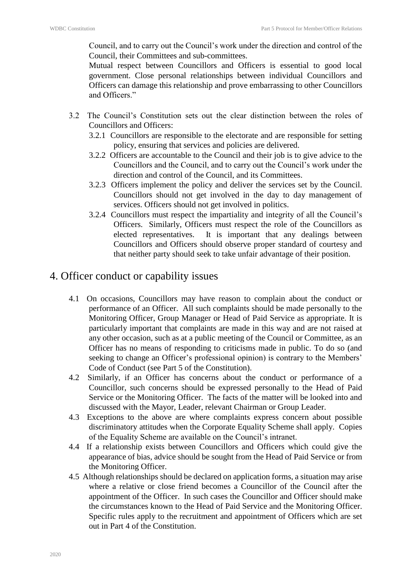Council, and to carry out the Council's work under the direction and control of the Council, their Committees and sub-committees.

Mutual respect between Councillors and Officers is essential to good local government. Close personal relationships between individual Councillors and Officers can damage this relationship and prove embarrassing to other Councillors and Officers."

- 3.2 The Council's Constitution sets out the clear distinction between the roles of Councillors and Officers:
	- 3.2.1 Councillors are responsible to the electorate and are responsible for setting policy, ensuring that services and policies are delivered.
	- 3.2.2 Officers are accountable to the Council and their job is to give advice to the Councillors and the Council, and to carry out the Council's work under the direction and control of the Council, and its Committees.
	- 3.2.3 Officers implement the policy and deliver the services set by the Council. Councillors should not get involved in the day to day management of services. Officers should not get involved in politics.
	- 3.2.4 Councillors must respect the impartiality and integrity of all the Council's Officers. Similarly, Officers must respect the role of the Councillors as elected representatives. It is important that any dealings between Councillors and Officers should observe proper standard of courtesy and that neither party should seek to take unfair advantage of their position.

### 4. Officer conduct or capability issues

- 4.1 On occasions, Councillors may have reason to complain about the conduct or performance of an Officer. All such complaints should be made personally to the Monitoring Officer, Group Manager or Head of Paid Service as appropriate. It is particularly important that complaints are made in this way and are not raised at any other occasion, such as at a public meeting of the Council or Committee, as an Officer has no means of responding to criticisms made in public. To do so (and seeking to change an Officer's professional opinion) is contrary to the Members' Code of Conduct (see Part 5 of the Constitution).
- 4.2 Similarly, if an Officer has concerns about the conduct or performance of a Councillor, such concerns should be expressed personally to the Head of Paid Service or the Monitoring Officer. The facts of the matter will be looked into and discussed with the Mayor, Leader, relevant Chairman or Group Leader.
- 4.3 Exceptions to the above are where complaints express concern about possible discriminatory attitudes when the Corporate Equality Scheme shall apply. Copies of the Equality Scheme are available on the Council's intranet.
- 4.4 If a relationship exists between Councillors and Officers which could give the appearance of bias, advice should be sought from the Head of Paid Service or from the Monitoring Officer.
- 4.5 Although relationships should be declared on application forms, a situation may arise where a relative or close friend becomes a Councillor of the Council after the appointment of the Officer. In such cases the Councillor and Officer should make the circumstances known to the Head of Paid Service and the Monitoring Officer. Specific rules apply to the recruitment and appointment of Officers which are set out in Part 4 of the Constitution.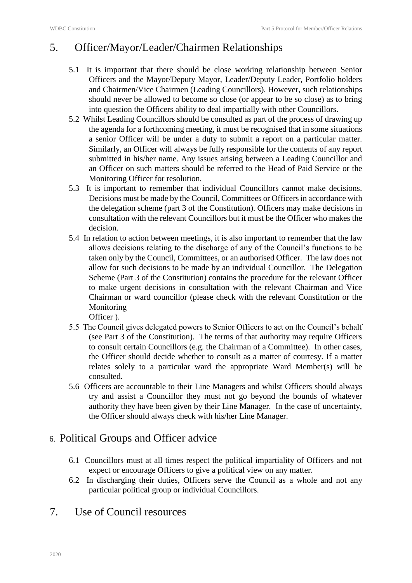### 5. Officer/Mayor/Leader/Chairmen Relationships

- 5.1 It is important that there should be close working relationship between Senior Officers and the Mayor/Deputy Mayor, Leader/Deputy Leader, Portfolio holders and Chairmen/Vice Chairmen (Leading Councillors). However, such relationships should never be allowed to become so close (or appear to be so close) as to bring into question the Officers ability to deal impartially with other Councillors.
- 5.2 Whilst Leading Councillors should be consulted as part of the process of drawing up the agenda for a forthcoming meeting, it must be recognised that in some situations a senior Officer will be under a duty to submit a report on a particular matter. Similarly, an Officer will always be fully responsible for the contents of any report submitted in his/her name. Any issues arising between a Leading Councillor and an Officer on such matters should be referred to the Head of Paid Service or the Monitoring Officer for resolution.
- 5.3 It is important to remember that individual Councillors cannot make decisions. Decisions must be made by the Council, Committees or Officers in accordance with the delegation scheme (part 3 of the Constitution). Officers may make decisions in consultation with the relevant Councillors but it must be the Officer who makes the decision.
- 5.4 In relation to action between meetings, it is also important to remember that the law allows decisions relating to the discharge of any of the Council's functions to be taken only by the Council, Committees, or an authorised Officer. The law does not allow for such decisions to be made by an individual Councillor. The Delegation Scheme (Part 3 of the Constitution) contains the procedure for the relevant Officer to make urgent decisions in consultation with the relevant Chairman and Vice Chairman or ward councillor (please check with the relevant Constitution or the Monitoring
	- Officer ).
- 5.5 The Council gives delegated powers to Senior Officers to act on the Council's behalf (see Part 3 of the Constitution). The terms of that authority may require Officers to consult certain Councillors (e.g. the Chairman of a Committee). In other cases, the Officer should decide whether to consult as a matter of courtesy. If a matter relates solely to a particular ward the appropriate Ward Member(s) will be consulted.
- 5.6 Officers are accountable to their Line Managers and whilst Officers should always try and assist a Councillor they must not go beyond the bounds of whatever authority they have been given by their Line Manager. In the case of uncertainty, the Officer should always check with his/her Line Manager.

#### 6. Political Groups and Officer advice

- 6.1 Councillors must at all times respect the political impartiality of Officers and not expect or encourage Officers to give a political view on any matter.
- 6.2 In discharging their duties, Officers serve the Council as a whole and not any particular political group or individual Councillors.
- 7. Use of Council resources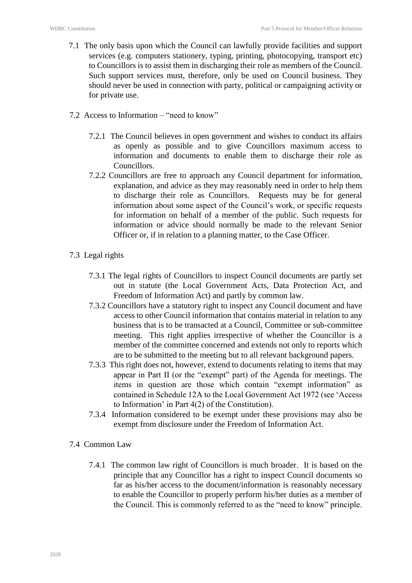- 7.1 The only basis upon which the Council can lawfully provide facilities and support services (e.g. computers stationery, typing, printing, photocopying, transport etc) to Councillors is to assist them in discharging their role as members of the Council. Such support services must, therefore, only be used on Council business. They should never be used in connection with party, political or campaigning activity or for private use.
- 7.2 Access to Information "need to know"
	- 7.2.1 The Council believes in open government and wishes to conduct its affairs as openly as possible and to give Councillors maximum access to information and documents to enable them to discharge their role as **Councillors**
	- 7.2.2 Councillors are free to approach any Council department for information, explanation, and advice as they may reasonably need in order to help them to discharge their role as Councillors. Requests may be for general information about some aspect of the Council's work, or specific requests for information on behalf of a member of the public. Such requests for information or advice should normally be made to the relevant Senior Officer or, if in relation to a planning matter, to the Case Officer.
- 7.3 Legal rights
	- 7.3.1 The legal rights of Councillors to inspect Council documents are partly set out in statute (the Local Government Acts, Data Protection Act, and Freedom of Information Act) and partly by common law.
	- 7.3.2 Councillors have a statutory right to inspect any Council document and have access to other Council information that contains material in relation to any business that is to be transacted at a Council, Committee or sub-committee meeting. This right applies irrespective of whether the Councillor is a member of the committee concerned and extends not only to reports which are to be submitted to the meeting but to all relevant background papers.
	- 7.3.3 This right does not, however, extend to documents relating to items that may appear in Part II (or the "exempt" part) of the Agenda for meetings. The items in question are those which contain "exempt information" as contained in Schedule 12A to the Local Government Act 1972 (see 'Access to Information' in Part 4(2) of the Constitution).
	- 7.3.4 Information considered to be exempt under these provisions may also be exempt from disclosure under the Freedom of Information Act.
- 7.4 Common Law
	- 7.4.1 The common law right of Councillors is much broader. It is based on the principle that any Councillor has a right to inspect Council documents so far as his/her access to the document/information is reasonably necessary to enable the Councillor to properly perform his/her duties as a member of the Council. This is commonly referred to as the "need to know" principle.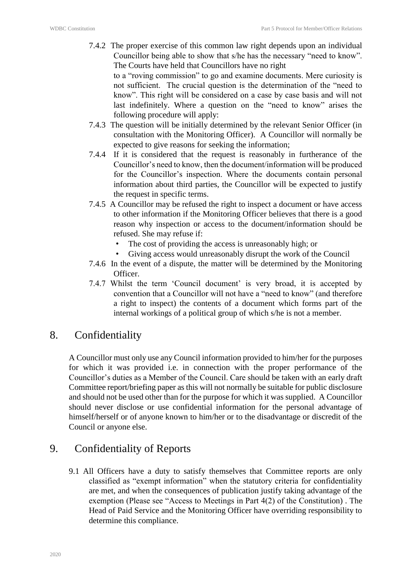7.4.2 The proper exercise of this common law right depends upon an individual Councillor being able to show that s/he has the necessary "need to know". The Courts have held that Councillors have no right

to a "roving commission" to go and examine documents. Mere curiosity is not sufficient. The crucial question is the determination of the "need to know". This right will be considered on a case by case basis and will not last indefinitely. Where a question on the "need to know" arises the following procedure will apply:

- 7.4.3 The question will be initially determined by the relevant Senior Officer (in consultation with the Monitoring Officer). A Councillor will normally be expected to give reasons for seeking the information;
- 7.4.4 If it is considered that the request is reasonably in furtherance of the Councillor's need to know, then the document/information will be produced for the Councillor's inspection. Where the documents contain personal information about third parties, the Councillor will be expected to justify the request in specific terms.
- 7.4.5 A Councillor may be refused the right to inspect a document or have access to other information if the Monitoring Officer believes that there is a good reason why inspection or access to the document/information should be refused. She may refuse if:
	- The cost of providing the access is unreasonably high; or
	- Giving access would unreasonably disrupt the work of the Council
- 7.4.6 In the event of a dispute, the matter will be determined by the Monitoring Officer.
- 7.4.7 Whilst the term 'Council document' is very broad, it is accepted by convention that a Councillor will not have a "need to know" (and therefore a right to inspect) the contents of a document which forms part of the internal workings of a political group of which s/he is not a member.

#### 8. Confidentiality

A Councillor must only use any Council information provided to him/her for the purposes for which it was provided i.e. in connection with the proper performance of the Councillor's duties as a Member of the Council. Care should be taken with an early draft Committee report/briefing paper as this will not normally be suitable for public disclosure and should not be used other than for the purpose for which it was supplied. A Councillor should never disclose or use confidential information for the personal advantage of himself/herself or of anyone known to him/her or to the disadvantage or discredit of the Council or anyone else.

## 9. Confidentiality of Reports

9.1 All Officers have a duty to satisfy themselves that Committee reports are only classified as "exempt information" when the statutory criteria for confidentiality are met, and when the consequences of publication justify taking advantage of the exemption (Please see "Access to Meetings in Part 4(2) of the Constitution) . The Head of Paid Service and the Monitoring Officer have overriding responsibility to determine this compliance.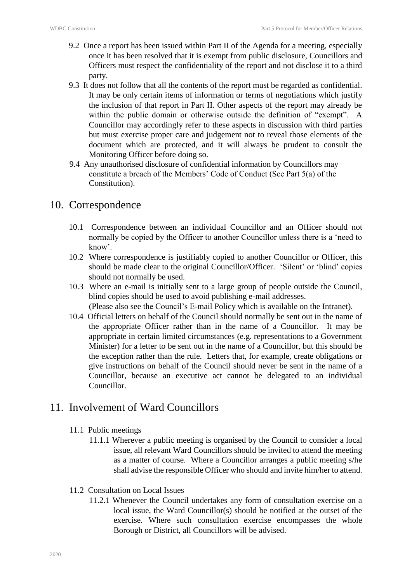- 9.2 Once a report has been issued within Part II of the Agenda for a meeting, especially once it has been resolved that it is exempt from public disclosure, Councillors and Officers must respect the confidentiality of the report and not disclose it to a third party.
- 9.3 It does not follow that all the contents of the report must be regarded as confidential. It may be only certain items of information or terms of negotiations which justify the inclusion of that report in Part II. Other aspects of the report may already be within the public domain or otherwise outside the definition of "exempt". A Councillor may accordingly refer to these aspects in discussion with third parties but must exercise proper care and judgement not to reveal those elements of the document which are protected, and it will always be prudent to consult the Monitoring Officer before doing so.
- 9.4 Any unauthorised disclosure of confidential information by Councillors may constitute a breach of the Members' Code of Conduct (See Part 5(a) of the Constitution).

#### 10. Correspondence

- 10.1 Correspondence between an individual Councillor and an Officer should not normally be copied by the Officer to another Councillor unless there is a 'need to know'.
- 10.2 Where correspondence is justifiably copied to another Councillor or Officer, this should be made clear to the original Councillor/Officer. 'Silent' or 'blind' copies should not normally be used.
- 10.3 Where an e-mail is initially sent to a large group of people outside the Council, blind copies should be used to avoid publishing e-mail addresses. (Please also see the Council's E-mail Policy which is available on the Intranet).
- 10.4 Official letters on behalf of the Council should normally be sent out in the name of the appropriate Officer rather than in the name of a Councillor. It may be appropriate in certain limited circumstances (e.g. representations to a Government Minister) for a letter to be sent out in the name of a Councillor, but this should be the exception rather than the rule. Letters that, for example, create obligations or give instructions on behalf of the Council should never be sent in the name of a Councillor, because an executive act cannot be delegated to an individual Councillor.

## 11. Involvement of Ward Councillors

- 11.1 Public meetings
	- 11.1.1 Wherever a public meeting is organised by the Council to consider a local issue, all relevant Ward Councillors should be invited to attend the meeting as a matter of course. Where a Councillor arranges a public meeting s/he shall advise the responsible Officer who should and invite him/her to attend.
- 11.2 Consultation on Local Issues
	- 11.2.1 Whenever the Council undertakes any form of consultation exercise on a local issue, the Ward Councillor(s) should be notified at the outset of the exercise. Where such consultation exercise encompasses the whole Borough or District, all Councillors will be advised.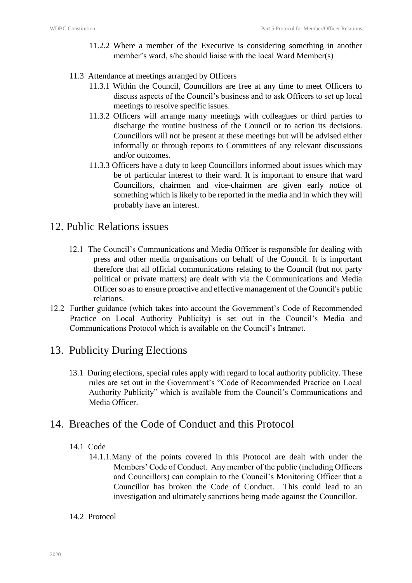- 11.2.2 Where a member of the Executive is considering something in another member's ward, s/he should liaise with the local Ward Member(s)
- 11.3 Attendance at meetings arranged by Officers
	- 11.3.1 Within the Council, Councillors are free at any time to meet Officers to discuss aspects of the Council's business and to ask Officers to set up local meetings to resolve specific issues.
	- 11.3.2 Officers will arrange many meetings with colleagues or third parties to discharge the routine business of the Council or to action its decisions. Councillors will not be present at these meetings but will be advised either informally or through reports to Committees of any relevant discussions and/or outcomes.
	- 11.3.3 Officers have a duty to keep Councillors informed about issues which may be of particular interest to their ward. It is important to ensure that ward Councillors, chairmen and vice-chairmen are given early notice of something which is likely to be reported in the media and in which they will probably have an interest.

#### 12. Public Relations issues

- 12.1 The Council's Communications and Media Officer is responsible for dealing with press and other media organisations on behalf of the Council. It is important therefore that all official communications relating to the Council (but not party political or private matters) are dealt with via the Communications and Media Officer so as to ensure proactive and effective management of the Council's public relations.
- 12.2 Further guidance (which takes into account the Government's Code of Recommended Practice on Local Authority Publicity) is set out in the Council's Media and Communications Protocol which is available on the Council's Intranet.

## 13. Publicity During Elections

13.1 During elections, special rules apply with regard to local authority publicity. These rules are set out in the Government's "Code of Recommended Practice on Local Authority Publicity" which is available from the Council's Communications and Media Officer.

#### 14. Breaches of the Code of Conduct and this Protocol

#### 14.1 Code

14.1.1.Many of the points covered in this Protocol are dealt with under the Members' Code of Conduct. Any member of the public (including Officers and Councillors) can complain to the Council's Monitoring Officer that a Councillor has broken the Code of Conduct. This could lead to an investigation and ultimately sanctions being made against the Councillor.

#### 14.2 Protocol